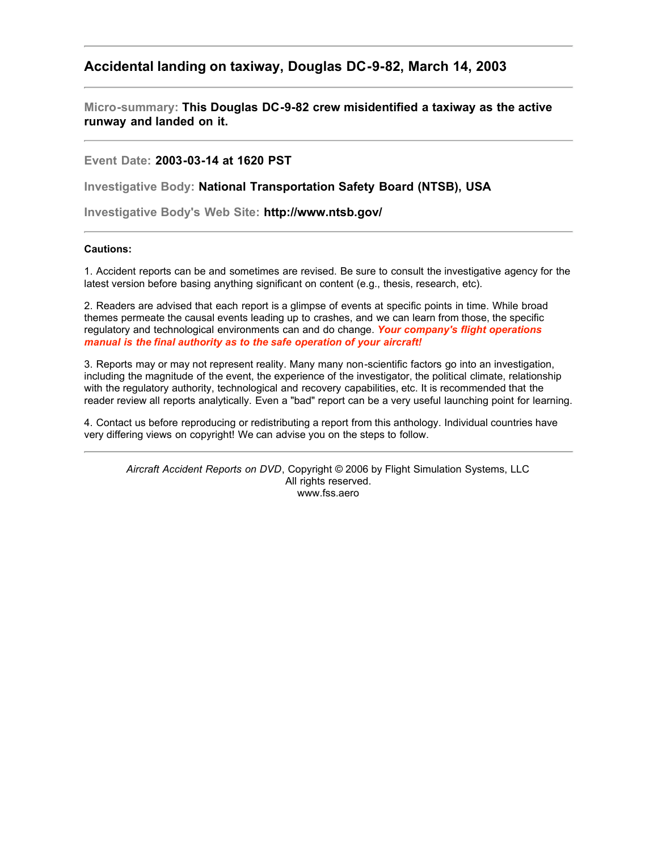## **Accidental landing on taxiway, Douglas DC-9-82, March 14, 2003**

**Micro-summary: This Douglas DC-9-82 crew misidentified a taxiway as the active runway and landed on it.**

**Event Date: 2003-03-14 at 1620 PST**

**Investigative Body: National Transportation Safety Board (NTSB), USA**

**Investigative Body's Web Site: http://www.ntsb.gov/**

## **Cautions:**

1. Accident reports can be and sometimes are revised. Be sure to consult the investigative agency for the latest version before basing anything significant on content (e.g., thesis, research, etc).

2. Readers are advised that each report is a glimpse of events at specific points in time. While broad themes permeate the causal events leading up to crashes, and we can learn from those, the specific regulatory and technological environments can and do change. *Your company's flight operations manual is the final authority as to the safe operation of your aircraft!*

3. Reports may or may not represent reality. Many many non-scientific factors go into an investigation, including the magnitude of the event, the experience of the investigator, the political climate, relationship with the regulatory authority, technological and recovery capabilities, etc. It is recommended that the reader review all reports analytically. Even a "bad" report can be a very useful launching point for learning.

4. Contact us before reproducing or redistributing a report from this anthology. Individual countries have very differing views on copyright! We can advise you on the steps to follow.

*Aircraft Accident Reports on DVD*, Copyright © 2006 by Flight Simulation Systems, LLC All rights reserved. www.fss.aero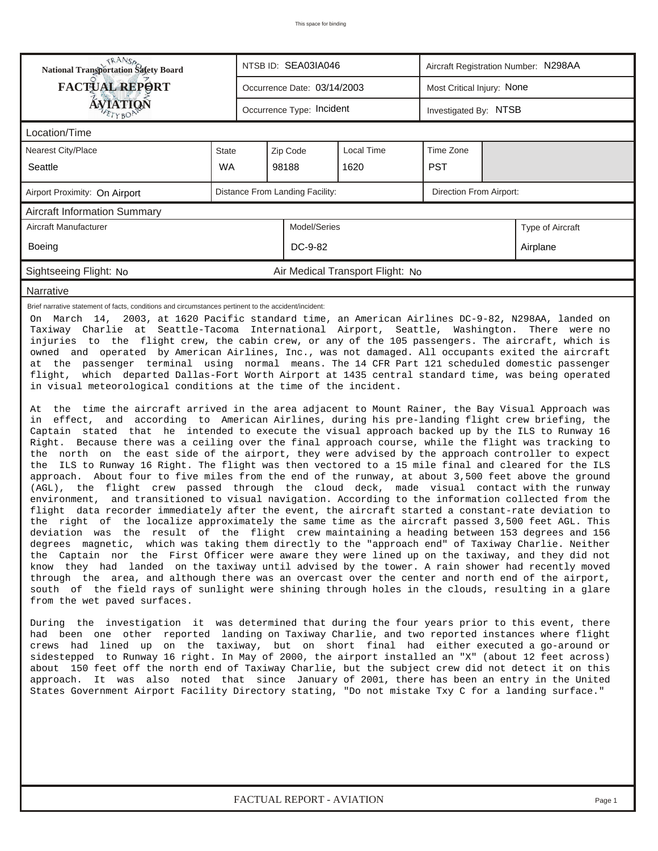| <b>National Transportation Safety Board</b>                                                                                                                                                                                                                                                                                                                                                                                                                                                                                                                                                                                                                                                                                                                                                                                                                                                                                                                                                                                                                                                                                                                                                                                                                                                                                                                                                                                                                                                                                                                                                                                                                                                                                                                                                                                                                                                                                                                                                                                                                                                                                                                                                                                                                                                                                                                                                                                                                                                                                                                                                                                                                                                                                                                                                                                                                                                                                                                                                                                                                                                                                                                                                                                                                                                                                                |              |                                            | NTSB ID: SEA03IA046             |                                  | Aircraft Registration Number: N298AA |                  |  |  |  |  |  |
|--------------------------------------------------------------------------------------------------------------------------------------------------------------------------------------------------------------------------------------------------------------------------------------------------------------------------------------------------------------------------------------------------------------------------------------------------------------------------------------------------------------------------------------------------------------------------------------------------------------------------------------------------------------------------------------------------------------------------------------------------------------------------------------------------------------------------------------------------------------------------------------------------------------------------------------------------------------------------------------------------------------------------------------------------------------------------------------------------------------------------------------------------------------------------------------------------------------------------------------------------------------------------------------------------------------------------------------------------------------------------------------------------------------------------------------------------------------------------------------------------------------------------------------------------------------------------------------------------------------------------------------------------------------------------------------------------------------------------------------------------------------------------------------------------------------------------------------------------------------------------------------------------------------------------------------------------------------------------------------------------------------------------------------------------------------------------------------------------------------------------------------------------------------------------------------------------------------------------------------------------------------------------------------------------------------------------------------------------------------------------------------------------------------------------------------------------------------------------------------------------------------------------------------------------------------------------------------------------------------------------------------------------------------------------------------------------------------------------------------------------------------------------------------------------------------------------------------------------------------------------------------------------------------------------------------------------------------------------------------------------------------------------------------------------------------------------------------------------------------------------------------------------------------------------------------------------------------------------------------------------------------------------------------------------------------------------------------------|--------------|--------------------------------------------|---------------------------------|----------------------------------|--------------------------------------|------------------|--|--|--|--|--|
| <b>FACTUAL REPORT</b><br>Most Critical Injury: None<br>Occurrence Date: 03/14/2003                                                                                                                                                                                                                                                                                                                                                                                                                                                                                                                                                                                                                                                                                                                                                                                                                                                                                                                                                                                                                                                                                                                                                                                                                                                                                                                                                                                                                                                                                                                                                                                                                                                                                                                                                                                                                                                                                                                                                                                                                                                                                                                                                                                                                                                                                                                                                                                                                                                                                                                                                                                                                                                                                                                                                                                                                                                                                                                                                                                                                                                                                                                                                                                                                                                         |              |                                            |                                 |                                  |                                      |                  |  |  |  |  |  |
| <b>ÁVIATIQN</b><br>Occurrence Type: Incident<br>Investigated By: NTSB<br>ETYBOP                                                                                                                                                                                                                                                                                                                                                                                                                                                                                                                                                                                                                                                                                                                                                                                                                                                                                                                                                                                                                                                                                                                                                                                                                                                                                                                                                                                                                                                                                                                                                                                                                                                                                                                                                                                                                                                                                                                                                                                                                                                                                                                                                                                                                                                                                                                                                                                                                                                                                                                                                                                                                                                                                                                                                                                                                                                                                                                                                                                                                                                                                                                                                                                                                                                            |              |                                            |                                 |                                  |                                      |                  |  |  |  |  |  |
| Location/Time                                                                                                                                                                                                                                                                                                                                                                                                                                                                                                                                                                                                                                                                                                                                                                                                                                                                                                                                                                                                                                                                                                                                                                                                                                                                                                                                                                                                                                                                                                                                                                                                                                                                                                                                                                                                                                                                                                                                                                                                                                                                                                                                                                                                                                                                                                                                                                                                                                                                                                                                                                                                                                                                                                                                                                                                                                                                                                                                                                                                                                                                                                                                                                                                                                                                                                                              |              |                                            |                                 |                                  |                                      |                  |  |  |  |  |  |
| Nearest City/Place                                                                                                                                                                                                                                                                                                                                                                                                                                                                                                                                                                                                                                                                                                                                                                                                                                                                                                                                                                                                                                                                                                                                                                                                                                                                                                                                                                                                                                                                                                                                                                                                                                                                                                                                                                                                                                                                                                                                                                                                                                                                                                                                                                                                                                                                                                                                                                                                                                                                                                                                                                                                                                                                                                                                                                                                                                                                                                                                                                                                                                                                                                                                                                                                                                                                                                                         | <b>State</b> | Time Zone<br><b>Local Time</b><br>Zip Code |                                 |                                  |                                      |                  |  |  |  |  |  |
| Seattle                                                                                                                                                                                                                                                                                                                                                                                                                                                                                                                                                                                                                                                                                                                                                                                                                                                                                                                                                                                                                                                                                                                                                                                                                                                                                                                                                                                                                                                                                                                                                                                                                                                                                                                                                                                                                                                                                                                                                                                                                                                                                                                                                                                                                                                                                                                                                                                                                                                                                                                                                                                                                                                                                                                                                                                                                                                                                                                                                                                                                                                                                                                                                                                                                                                                                                                                    | <b>WA</b>    | <b>PST</b><br>98188<br>1620                |                                 |                                  |                                      |                  |  |  |  |  |  |
| Airport Proximity: On Airport                                                                                                                                                                                                                                                                                                                                                                                                                                                                                                                                                                                                                                                                                                                                                                                                                                                                                                                                                                                                                                                                                                                                                                                                                                                                                                                                                                                                                                                                                                                                                                                                                                                                                                                                                                                                                                                                                                                                                                                                                                                                                                                                                                                                                                                                                                                                                                                                                                                                                                                                                                                                                                                                                                                                                                                                                                                                                                                                                                                                                                                                                                                                                                                                                                                                                                              |              |                                            | Distance From Landing Facility: |                                  | Direction From Airport:              |                  |  |  |  |  |  |
| <b>Aircraft Information Summary</b>                                                                                                                                                                                                                                                                                                                                                                                                                                                                                                                                                                                                                                                                                                                                                                                                                                                                                                                                                                                                                                                                                                                                                                                                                                                                                                                                                                                                                                                                                                                                                                                                                                                                                                                                                                                                                                                                                                                                                                                                                                                                                                                                                                                                                                                                                                                                                                                                                                                                                                                                                                                                                                                                                                                                                                                                                                                                                                                                                                                                                                                                                                                                                                                                                                                                                                        |              |                                            |                                 |                                  |                                      |                  |  |  |  |  |  |
| Aircraft Manufacturer                                                                                                                                                                                                                                                                                                                                                                                                                                                                                                                                                                                                                                                                                                                                                                                                                                                                                                                                                                                                                                                                                                                                                                                                                                                                                                                                                                                                                                                                                                                                                                                                                                                                                                                                                                                                                                                                                                                                                                                                                                                                                                                                                                                                                                                                                                                                                                                                                                                                                                                                                                                                                                                                                                                                                                                                                                                                                                                                                                                                                                                                                                                                                                                                                                                                                                                      |              |                                            | Model/Series                    |                                  |                                      | Type of Aircraft |  |  |  |  |  |
| Boeing                                                                                                                                                                                                                                                                                                                                                                                                                                                                                                                                                                                                                                                                                                                                                                                                                                                                                                                                                                                                                                                                                                                                                                                                                                                                                                                                                                                                                                                                                                                                                                                                                                                                                                                                                                                                                                                                                                                                                                                                                                                                                                                                                                                                                                                                                                                                                                                                                                                                                                                                                                                                                                                                                                                                                                                                                                                                                                                                                                                                                                                                                                                                                                                                                                                                                                                                     | DC-9-82      |                                            |                                 |                                  | Airplane                             |                  |  |  |  |  |  |
| Sightseeing Flight: No                                                                                                                                                                                                                                                                                                                                                                                                                                                                                                                                                                                                                                                                                                                                                                                                                                                                                                                                                                                                                                                                                                                                                                                                                                                                                                                                                                                                                                                                                                                                                                                                                                                                                                                                                                                                                                                                                                                                                                                                                                                                                                                                                                                                                                                                                                                                                                                                                                                                                                                                                                                                                                                                                                                                                                                                                                                                                                                                                                                                                                                                                                                                                                                                                                                                                                                     |              |                                            |                                 | Air Medical Transport Flight: No |                                      |                  |  |  |  |  |  |
| Narrative                                                                                                                                                                                                                                                                                                                                                                                                                                                                                                                                                                                                                                                                                                                                                                                                                                                                                                                                                                                                                                                                                                                                                                                                                                                                                                                                                                                                                                                                                                                                                                                                                                                                                                                                                                                                                                                                                                                                                                                                                                                                                                                                                                                                                                                                                                                                                                                                                                                                                                                                                                                                                                                                                                                                                                                                                                                                                                                                                                                                                                                                                                                                                                                                                                                                                                                                  |              |                                            |                                 |                                  |                                      |                  |  |  |  |  |  |
| Brief narrative statement of facts, conditions and circumstances pertinent to the accident/incident:<br>On March 14, 2003, at 1620 Pacific standard time, an American Airlines DC-9-82, N298AA, landed on<br>Taxiway Charlie at Seattle-Tacoma International Airport, Seattle, Washington. There were no<br>injuries to the flight crew, the cabin crew, or any of the 105 passengers. The aircraft, which is<br>owned and operated by American Airlines, Inc., was not damaged. All occupants exited the aircraft<br>at the passenger terminal using normal means. The 14 CFR Part 121 scheduled domestic passenger<br>flight, which departed Dallas-Fort Worth Airport at 1435 central standard time, was being operated<br>in visual meteorological conditions at the time of the incident.<br>At the time the aircraft arrived in the area adjacent to Mount Rainer, the Bay Visual Approach was<br>in effect, and according to American Airlines, during his pre-landing flight crew briefing, the<br>Captain stated that he intended to execute the visual approach backed up by the ILS to Runway 16<br>Right. Because there was a ceiling over the final approach course, while the flight was tracking to<br>the north on the east side of the airport, they were advised by the approach controller to expect<br>the ILS to Runway 16 Right. The flight was then vectored to a 15 mile final and cleared for the ILS<br>approach. About four to five miles from the end of the runway, at about 3,500 feet above the ground<br>(AGL), the flight crew passed through the cloud deck, made visual contact with the runway<br>environment, and transitioned to visual navigation. According to the information collected from the<br>flight data recorder immediately after the event, the aircraft started a constant-rate deviation to<br>the right of the localize approximately the same time as the aircraft passed 3,500 feet AGL. This<br>deviation was the result of the flight crew maintaining a heading between 153 degrees and 156<br>degrees magnetic, which was taking them directly to the "approach end" of Taxiway Charlie. Neither<br>the Captain nor the First Officer were aware they were lined up on the taxiway, and they did not<br>know they had landed on the taxiway until advised by the tower. A rain shower had recently moved<br>through the area, and although there was an overcast over the center and north end of the airport,<br>south of the field rays of sunlight were shining through holes in the clouds, resulting in a glare<br>from the wet paved surfaces.<br>During the investigation it was determined that during the four years prior to this event, there<br>had been one other reported landing on Taxiway Charlie, and two reported instances where flight<br>crews had lined up on the taxiway, but on short final had either executed a go-around or<br>sidestepped to Runway 16 right. In May of 2000, the airport installed an "X" (about 12 feet across)<br>about 150 feet off the north end of Taxiway Charlie, but the subject crew did not detect it on this<br>approach. It was also noted that since January of 2001, there has been an entry in the United<br>"States Government Airport Facility Directory stating, "Do not mistake Txy C for a landing surface." |              |                                            |                                 |                                  |                                      |                  |  |  |  |  |  |

*FACTUAL REPORT - AVIATION Page 1*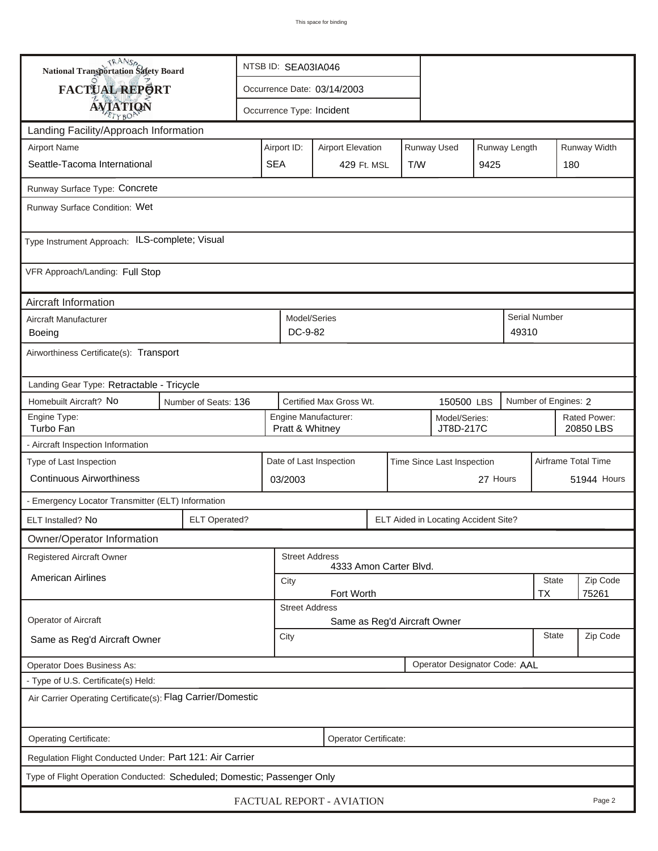| <b>National Transportation Safety Board</b>                             |                                                             | NTSB ID: SEA03IA046                                                   |                                                               |             |               |  |  |                           |                    |  |  |
|-------------------------------------------------------------------------|-------------------------------------------------------------|-----------------------------------------------------------------------|---------------------------------------------------------------|-------------|---------------|--|--|---------------------------|--------------------|--|--|
| FACTUAL REPORT                                                          |                                                             | Occurrence Date: 03/14/2003                                           |                                                               |             |               |  |  |                           |                    |  |  |
| <b>AVIATION</b>                                                         |                                                             | Occurrence Type: Incident                                             |                                                               |             |               |  |  |                           |                    |  |  |
| Landing Facility/Approach Information                                   |                                                             |                                                                       |                                                               |             |               |  |  |                           |                    |  |  |
| <b>Airport Name</b>                                                     |                                                             | Airport ID:                                                           | <b>Airport Elevation</b>                                      |             | Runway Width  |  |  |                           |                    |  |  |
| Seattle-Tacoma International                                            |                                                             | <b>SEA</b>                                                            | 429 Ft. MSL                                                   | T/W<br>9425 |               |  |  | 180                       |                    |  |  |
| Runway Surface Type: Concrete                                           |                                                             |                                                                       |                                                               |             |               |  |  |                           |                    |  |  |
| Runway Surface Condition: Wet                                           |                                                             |                                                                       |                                                               |             |               |  |  |                           |                    |  |  |
| Type Instrument Approach: ILS-complete; Visual                          |                                                             |                                                                       |                                                               |             |               |  |  |                           |                    |  |  |
| VFR Approach/Landing: Full Stop                                         |                                                             |                                                                       |                                                               |             |               |  |  |                           |                    |  |  |
| Aircraft Information                                                    |                                                             |                                                                       |                                                               |             |               |  |  |                           |                    |  |  |
| Aircraft Manufacturer<br>Boeing                                         |                                                             | DC-9-82                                                               | Model/Series                                                  | 49310       | Serial Number |  |  |                           |                    |  |  |
| Airworthiness Certificate(s): Transport                                 |                                                             |                                                                       |                                                               |             |               |  |  |                           |                    |  |  |
|                                                                         | Landing Gear Type: Retractable - Tricycle                   |                                                                       |                                                               |             |               |  |  |                           |                    |  |  |
| Homebuilt Aircraft? No                                                  | Number of Seats: 136                                        |                                                                       | Certified Max Gross Wt.<br>Number of Engines: 2<br>150500 LBS |             |               |  |  |                           |                    |  |  |
| Engine Type:<br>Turbo Fan                                               |                                                             | Engine Manufacturer:<br>Model/Series:<br>Pratt & Whitney<br>JT8D-217C |                                                               |             |               |  |  | Rated Power:<br>20850 LBS |                    |  |  |
| - Aircraft Inspection Information                                       |                                                             |                                                                       |                                                               |             |               |  |  |                           |                    |  |  |
| Type of Last Inspection                                                 |                                                             |                                                                       | Date of Last Inspection<br>Time Since Last Inspection         |             |               |  |  | Airframe Total Time       |                    |  |  |
| <b>Continuous Airworthiness</b>                                         |                                                             | 03/2003                                                               | 27 Hours                                                      |             |               |  |  |                           | <b>51944 Hours</b> |  |  |
| - Emergency Locator Transmitter (ELT) Information                       |                                                             |                                                                       |                                                               |             |               |  |  |                           |                    |  |  |
| ELT Installed? No                                                       | <b>ELT Operated?</b>                                        | ELT Aided in Locating Accident Site?                                  |                                                               |             |               |  |  |                           |                    |  |  |
| Owner/Operator Information                                              |                                                             |                                                                       |                                                               |             |               |  |  |                           |                    |  |  |
| <b>Registered Aircraft Owner</b>                                        |                                                             |                                                                       | <b>Street Address</b><br>4333 Amon Carter Blvd.               |             |               |  |  |                           |                    |  |  |
| <b>American Airlines</b>                                                | <b>State</b><br>Zip Code<br>City                            |                                                                       |                                                               |             |               |  |  |                           |                    |  |  |
|                                                                         | Fort Worth<br><b>TX</b><br>75261<br><b>Street Address</b>   |                                                                       |                                                               |             |               |  |  |                           |                    |  |  |
| Operator of Aircraft                                                    | Same as Reg'd Aircraft Owner                                |                                                                       |                                                               |             |               |  |  |                           |                    |  |  |
| Same as Reg'd Aircraft Owner                                            | <b>State</b><br>City                                        |                                                                       |                                                               |             |               |  |  | Zip Code                  |                    |  |  |
| <b>Operator Does Business As:</b>                                       | Operator Designator Code: AAL                               |                                                                       |                                                               |             |               |  |  |                           |                    |  |  |
| - Type of U.S. Certificate(s) Held:                                     |                                                             |                                                                       |                                                               |             |               |  |  |                           |                    |  |  |
|                                                                         | Air Carrier Operating Certificate(s): Flag Carrier/Domestic |                                                                       |                                                               |             |               |  |  |                           |                    |  |  |
| Operating Certificate:                                                  |                                                             |                                                                       | Operator Certificate:                                         |             |               |  |  |                           |                    |  |  |
| Regulation Flight Conducted Under: Part 121: Air Carrier                |                                                             |                                                                       |                                                               |             |               |  |  |                           |                    |  |  |
| Type of Flight Operation Conducted: Scheduled; Domestic; Passenger Only |                                                             |                                                                       |                                                               |             |               |  |  |                           |                    |  |  |
|                                                                         |                                                             |                                                                       | FACTUAL REPORT - AVIATION                                     |             |               |  |  |                           | Page 2             |  |  |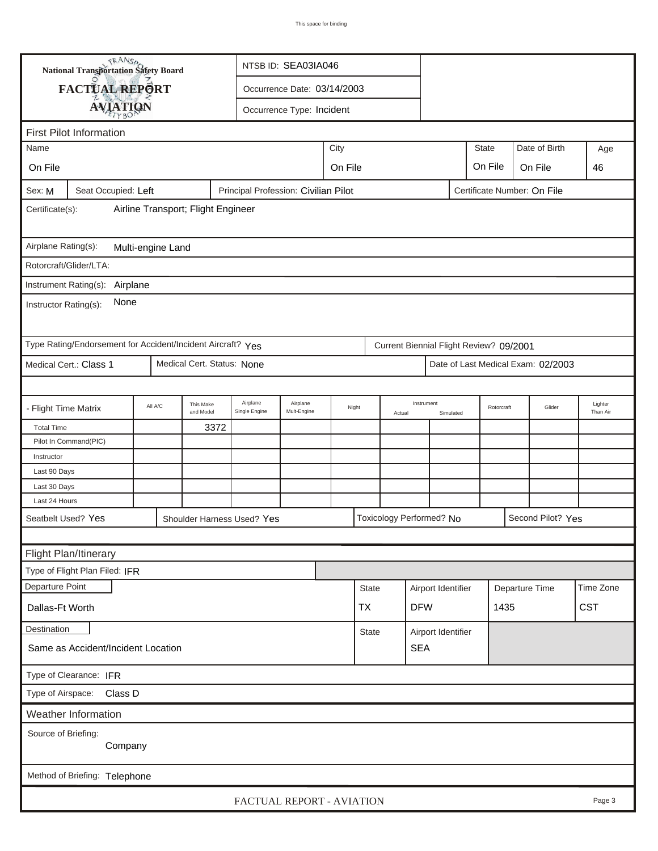| <b>National Transportation Safety Board</b><br>NTSB ID: SEA03IA046                                   |                                   |                             |                        |                            |                           |       |                      |                          |                    |           |                                         |      |                                    |                     |
|------------------------------------------------------------------------------------------------------|-----------------------------------|-----------------------------|------------------------|----------------------------|---------------------------|-------|----------------------|--------------------------|--------------------|-----------|-----------------------------------------|------|------------------------------------|---------------------|
|                                                                                                      | FACTUAL REPORT                    | Occurrence Date: 03/14/2003 |                        |                            |                           |       |                      |                          |                    |           |                                         |      |                                    |                     |
|                                                                                                      | <b>AVIATION</b>                   |                             |                        |                            | Occurrence Type: Incident |       |                      |                          |                    |           |                                         |      |                                    |                     |
|                                                                                                      |                                   |                             |                        |                            |                           |       |                      |                          |                    |           |                                         |      |                                    |                     |
| <b>First Pilot Information</b><br>City<br>Name                                                       |                                   |                             |                        |                            |                           |       |                      |                          |                    |           | <b>State</b>                            |      | Date of Birth                      | Age                 |
| On File<br>On File                                                                                   |                                   |                             |                        |                            |                           |       |                      |                          |                    |           | On File                                 |      | On File                            | 46                  |
|                                                                                                      |                                   |                             |                        |                            |                           |       |                      |                          |                    |           |                                         |      |                                    |                     |
| Principal Profession: Civilian Pilot<br>Seat Occupied: Left<br>Certificate Number: On File<br>Sex: M |                                   |                             |                        |                            |                           |       |                      |                          |                    |           |                                         |      |                                    |                     |
| Airline Transport; Flight Engineer<br>Certificate(s):                                                |                                   |                             |                        |                            |                           |       |                      |                          |                    |           |                                         |      |                                    |                     |
| Airplane Rating(s):<br>Multi-engine Land                                                             |                                   |                             |                        |                            |                           |       |                      |                          |                    |           |                                         |      |                                    |                     |
| Rotorcraft/Glider/LTA:                                                                               |                                   |                             |                        |                            |                           |       |                      |                          |                    |           |                                         |      |                                    |                     |
|                                                                                                      | Instrument Rating(s):<br>Airplane |                             |                        |                            |                           |       |                      |                          |                    |           |                                         |      |                                    |                     |
| None<br>Instructor Rating(s):                                                                        |                                   |                             |                        |                            |                           |       |                      |                          |                    |           |                                         |      |                                    |                     |
| Type Rating/Endorsement for Accident/Incident Aircraft? Yes                                          |                                   |                             |                        |                            |                           |       |                      |                          |                    |           | Current Biennial Flight Review? 09/2001 |      |                                    |                     |
| Medical Cert. Status: None<br>Medical Cert.: Class 1                                                 |                                   |                             |                        |                            |                           |       |                      |                          |                    |           |                                         |      | Date of Last Medical Exam: 02/2003 |                     |
|                                                                                                      |                                   |                             |                        |                            |                           |       |                      |                          |                    |           |                                         |      |                                    |                     |
| - Flight Time Matrix                                                                                 |                                   | All A/C                     | This Make<br>and Model | Airplane<br>Single Engine  | Airplane<br>Mult-Engine   | Night | Instrument<br>Actual |                          |                    | Simulated | Rotorcraft                              |      | Glider                             | Lighter<br>Than Air |
| <b>Total Time</b>                                                                                    |                                   |                             | 3372                   |                            |                           |       |                      |                          |                    |           |                                         |      |                                    |                     |
|                                                                                                      | Pilot In Command(PIC)             |                             |                        |                            |                           |       |                      |                          |                    |           |                                         |      |                                    |                     |
| Instructor<br>Last 90 Days                                                                           |                                   |                             |                        |                            |                           |       |                      |                          |                    |           |                                         |      |                                    |                     |
| Last 30 Days                                                                                         |                                   |                             |                        |                            |                           |       |                      |                          |                    |           |                                         |      |                                    |                     |
| Last 24 Hours                                                                                        |                                   |                             |                        |                            |                           |       |                      |                          |                    |           |                                         |      |                                    |                     |
| Seatbelt Used? Yes                                                                                   |                                   |                             |                        | Shoulder Harness Used? Yes |                           |       |                      | Toxicology Performed? No |                    |           |                                         |      | Second Pilot? Yes                  |                     |
|                                                                                                      |                                   |                             |                        |                            |                           |       |                      |                          |                    |           |                                         |      |                                    |                     |
|                                                                                                      | Flight Plan/Itinerary             |                             |                        |                            |                           |       |                      |                          |                    |           |                                         |      |                                    |                     |
|                                                                                                      | Type of Flight Plan Filed: IFR    |                             |                        |                            |                           |       |                      |                          |                    |           |                                         |      |                                    |                     |
| Departure Point                                                                                      |                                   |                             |                        |                            |                           |       | <b>State</b>         |                          | Airport Identifier |           |                                         |      | Departure Time                     | Time Zone           |
| Dallas-Ft Worth                                                                                      |                                   |                             |                        |                            |                           |       | <b>TX</b>            |                          | <b>DFW</b>         |           |                                         | 1435 |                                    | <b>CST</b>          |
| Destination                                                                                          |                                   |                             |                        |                            |                           |       | <b>State</b>         |                          | Airport Identifier |           |                                         |      |                                    |                     |
| <b>SEA</b><br>Same as Accident/Incident Location                                                     |                                   |                             |                        |                            |                           |       |                      |                          |                    |           |                                         |      |                                    |                     |
| Type of Clearance: IFR                                                                               |                                   |                             |                        |                            |                           |       |                      |                          |                    |           |                                         |      |                                    |                     |
| Type of Airspace:                                                                                    | Class D                           |                             |                        |                            |                           |       |                      |                          |                    |           |                                         |      |                                    |                     |
|                                                                                                      | Weather Information               |                             |                        |                            |                           |       |                      |                          |                    |           |                                         |      |                                    |                     |
| Source of Briefing:                                                                                  |                                   |                             |                        |                            |                           |       |                      |                          |                    |           |                                         |      |                                    |                     |
|                                                                                                      | Company                           |                             |                        |                            |                           |       |                      |                          |                    |           |                                         |      |                                    |                     |
|                                                                                                      | Method of Briefing: Telephone     |                             |                        |                            |                           |       |                      |                          |                    |           |                                         |      |                                    |                     |
|                                                                                                      |                                   |                             |                        | FACTUAL REPORT - AVIATION  |                           |       |                      |                          |                    |           |                                         |      |                                    | Page 3              |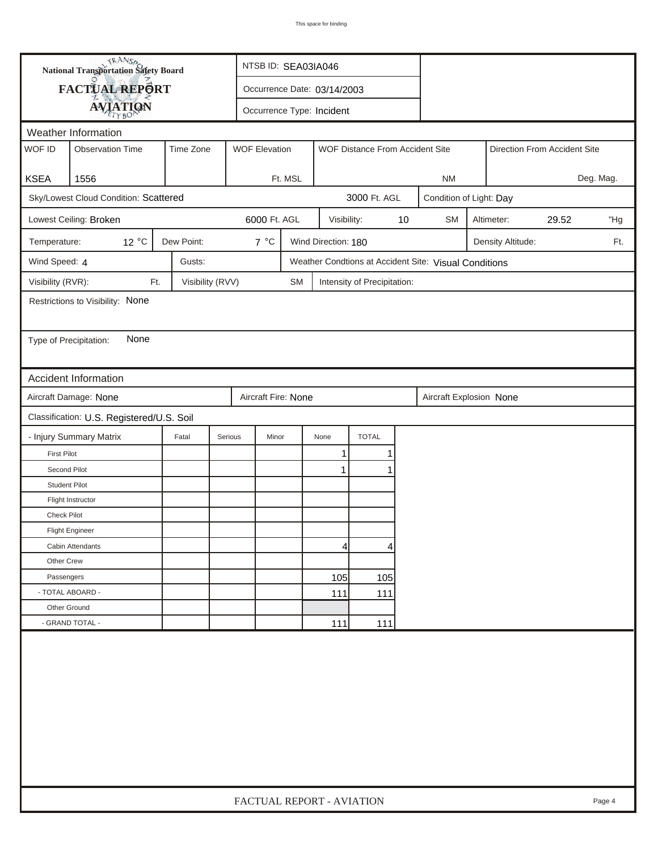| FACTUAL REPORT<br>Occurrence Date: 03/14/2003<br><b>AVIATION</b><br>Occurrence Type: Incident<br>Weather Information<br>WOF ID<br><b>Observation Time</b><br>Time Zone<br><b>WOF Elevation</b><br>WOF Distance From Accident Site<br>Direction From Accident Site<br><b>KSEA</b><br>1556<br>Ft. MSL<br>Deg. Mag.<br><b>NM</b><br>3000 Ft. AGL<br>Sky/Lowest Cloud Condition: Scattered<br>Condition of Light: Day<br>6000 Ft. AGL<br>10<br>Lowest Ceiling: Broken<br><b>SM</b><br>Altimeter:<br>29.52<br>"Hg<br>Visibility:<br>12 °C<br>Dew Point:<br>$7^{\circ}$ C<br>Temperature:<br>Wind Direction: 180<br>Density Altitude:<br>Ft.<br>Wind Speed: 4<br>Gusts:<br>Weather Condtions at Accident Site: Visual Conditions<br>Visibility (RVR):<br>Visibility (RVV)<br>Ft.<br><b>SM</b><br>Intensity of Precipitation:<br>Restrictions to Visibility: None<br>None<br>Type of Precipitation:<br><b>Accident Information</b><br>Aircraft Fire: None<br>Aircraft Damage: None<br>Aircraft Explosion None<br>Classification: U.S. Registered/U.S. Soil<br>- Injury Summary Matrix<br><b>TOTAL</b><br>Fatal<br>Serious<br>Minor<br>None<br><b>First Pilot</b><br>1<br>Second Pilot<br>1<br><b>Student Pilot</b><br>Flight Instructor<br>Check Pilot<br><b>Flight Engineer</b><br>Cabin Attendants<br>4<br>4<br>Other Crew<br>105<br>Passengers<br>105<br>- TOTAL ABOARD -<br>111<br>111<br>Other Ground<br>- GRAND TOTAL -<br>111<br>111 | <b>National Transportation Safety Board</b> |  | NTSB ID: SEA03IA046       |  |  |  |  |  |  |  |  |        |  |
|--------------------------------------------------------------------------------------------------------------------------------------------------------------------------------------------------------------------------------------------------------------------------------------------------------------------------------------------------------------------------------------------------------------------------------------------------------------------------------------------------------------------------------------------------------------------------------------------------------------------------------------------------------------------------------------------------------------------------------------------------------------------------------------------------------------------------------------------------------------------------------------------------------------------------------------------------------------------------------------------------------------------------------------------------------------------------------------------------------------------------------------------------------------------------------------------------------------------------------------------------------------------------------------------------------------------------------------------------------------------------------------------------------------------------------------|---------------------------------------------|--|---------------------------|--|--|--|--|--|--|--|--|--------|--|
|                                                                                                                                                                                                                                                                                                                                                                                                                                                                                                                                                                                                                                                                                                                                                                                                                                                                                                                                                                                                                                                                                                                                                                                                                                                                                                                                                                                                                                      |                                             |  |                           |  |  |  |  |  |  |  |  |        |  |
|                                                                                                                                                                                                                                                                                                                                                                                                                                                                                                                                                                                                                                                                                                                                                                                                                                                                                                                                                                                                                                                                                                                                                                                                                                                                                                                                                                                                                                      |                                             |  |                           |  |  |  |  |  |  |  |  |        |  |
|                                                                                                                                                                                                                                                                                                                                                                                                                                                                                                                                                                                                                                                                                                                                                                                                                                                                                                                                                                                                                                                                                                                                                                                                                                                                                                                                                                                                                                      |                                             |  |                           |  |  |  |  |  |  |  |  |        |  |
|                                                                                                                                                                                                                                                                                                                                                                                                                                                                                                                                                                                                                                                                                                                                                                                                                                                                                                                                                                                                                                                                                                                                                                                                                                                                                                                                                                                                                                      |                                             |  |                           |  |  |  |  |  |  |  |  |        |  |
|                                                                                                                                                                                                                                                                                                                                                                                                                                                                                                                                                                                                                                                                                                                                                                                                                                                                                                                                                                                                                                                                                                                                                                                                                                                                                                                                                                                                                                      |                                             |  |                           |  |  |  |  |  |  |  |  |        |  |
|                                                                                                                                                                                                                                                                                                                                                                                                                                                                                                                                                                                                                                                                                                                                                                                                                                                                                                                                                                                                                                                                                                                                                                                                                                                                                                                                                                                                                                      |                                             |  |                           |  |  |  |  |  |  |  |  |        |  |
|                                                                                                                                                                                                                                                                                                                                                                                                                                                                                                                                                                                                                                                                                                                                                                                                                                                                                                                                                                                                                                                                                                                                                                                                                                                                                                                                                                                                                                      |                                             |  |                           |  |  |  |  |  |  |  |  |        |  |
|                                                                                                                                                                                                                                                                                                                                                                                                                                                                                                                                                                                                                                                                                                                                                                                                                                                                                                                                                                                                                                                                                                                                                                                                                                                                                                                                                                                                                                      |                                             |  |                           |  |  |  |  |  |  |  |  |        |  |
|                                                                                                                                                                                                                                                                                                                                                                                                                                                                                                                                                                                                                                                                                                                                                                                                                                                                                                                                                                                                                                                                                                                                                                                                                                                                                                                                                                                                                                      |                                             |  |                           |  |  |  |  |  |  |  |  |        |  |
|                                                                                                                                                                                                                                                                                                                                                                                                                                                                                                                                                                                                                                                                                                                                                                                                                                                                                                                                                                                                                                                                                                                                                                                                                                                                                                                                                                                                                                      |                                             |  |                           |  |  |  |  |  |  |  |  |        |  |
|                                                                                                                                                                                                                                                                                                                                                                                                                                                                                                                                                                                                                                                                                                                                                                                                                                                                                                                                                                                                                                                                                                                                                                                                                                                                                                                                                                                                                                      |                                             |  |                           |  |  |  |  |  |  |  |  |        |  |
|                                                                                                                                                                                                                                                                                                                                                                                                                                                                                                                                                                                                                                                                                                                                                                                                                                                                                                                                                                                                                                                                                                                                                                                                                                                                                                                                                                                                                                      |                                             |  |                           |  |  |  |  |  |  |  |  |        |  |
|                                                                                                                                                                                                                                                                                                                                                                                                                                                                                                                                                                                                                                                                                                                                                                                                                                                                                                                                                                                                                                                                                                                                                                                                                                                                                                                                                                                                                                      |                                             |  |                           |  |  |  |  |  |  |  |  |        |  |
|                                                                                                                                                                                                                                                                                                                                                                                                                                                                                                                                                                                                                                                                                                                                                                                                                                                                                                                                                                                                                                                                                                                                                                                                                                                                                                                                                                                                                                      |                                             |  |                           |  |  |  |  |  |  |  |  |        |  |
|                                                                                                                                                                                                                                                                                                                                                                                                                                                                                                                                                                                                                                                                                                                                                                                                                                                                                                                                                                                                                                                                                                                                                                                                                                                                                                                                                                                                                                      |                                             |  |                           |  |  |  |  |  |  |  |  |        |  |
|                                                                                                                                                                                                                                                                                                                                                                                                                                                                                                                                                                                                                                                                                                                                                                                                                                                                                                                                                                                                                                                                                                                                                                                                                                                                                                                                                                                                                                      |                                             |  |                           |  |  |  |  |  |  |  |  |        |  |
|                                                                                                                                                                                                                                                                                                                                                                                                                                                                                                                                                                                                                                                                                                                                                                                                                                                                                                                                                                                                                                                                                                                                                                                                                                                                                                                                                                                                                                      |                                             |  |                           |  |  |  |  |  |  |  |  |        |  |
|                                                                                                                                                                                                                                                                                                                                                                                                                                                                                                                                                                                                                                                                                                                                                                                                                                                                                                                                                                                                                                                                                                                                                                                                                                                                                                                                                                                                                                      |                                             |  |                           |  |  |  |  |  |  |  |  |        |  |
|                                                                                                                                                                                                                                                                                                                                                                                                                                                                                                                                                                                                                                                                                                                                                                                                                                                                                                                                                                                                                                                                                                                                                                                                                                                                                                                                                                                                                                      |                                             |  |                           |  |  |  |  |  |  |  |  |        |  |
|                                                                                                                                                                                                                                                                                                                                                                                                                                                                                                                                                                                                                                                                                                                                                                                                                                                                                                                                                                                                                                                                                                                                                                                                                                                                                                                                                                                                                                      |                                             |  |                           |  |  |  |  |  |  |  |  |        |  |
|                                                                                                                                                                                                                                                                                                                                                                                                                                                                                                                                                                                                                                                                                                                                                                                                                                                                                                                                                                                                                                                                                                                                                                                                                                                                                                                                                                                                                                      |                                             |  |                           |  |  |  |  |  |  |  |  |        |  |
|                                                                                                                                                                                                                                                                                                                                                                                                                                                                                                                                                                                                                                                                                                                                                                                                                                                                                                                                                                                                                                                                                                                                                                                                                                                                                                                                                                                                                                      |                                             |  |                           |  |  |  |  |  |  |  |  |        |  |
|                                                                                                                                                                                                                                                                                                                                                                                                                                                                                                                                                                                                                                                                                                                                                                                                                                                                                                                                                                                                                                                                                                                                                                                                                                                                                                                                                                                                                                      |                                             |  |                           |  |  |  |  |  |  |  |  |        |  |
|                                                                                                                                                                                                                                                                                                                                                                                                                                                                                                                                                                                                                                                                                                                                                                                                                                                                                                                                                                                                                                                                                                                                                                                                                                                                                                                                                                                                                                      |                                             |  |                           |  |  |  |  |  |  |  |  |        |  |
|                                                                                                                                                                                                                                                                                                                                                                                                                                                                                                                                                                                                                                                                                                                                                                                                                                                                                                                                                                                                                                                                                                                                                                                                                                                                                                                                                                                                                                      |                                             |  |                           |  |  |  |  |  |  |  |  |        |  |
|                                                                                                                                                                                                                                                                                                                                                                                                                                                                                                                                                                                                                                                                                                                                                                                                                                                                                                                                                                                                                                                                                                                                                                                                                                                                                                                                                                                                                                      |                                             |  |                           |  |  |  |  |  |  |  |  |        |  |
|                                                                                                                                                                                                                                                                                                                                                                                                                                                                                                                                                                                                                                                                                                                                                                                                                                                                                                                                                                                                                                                                                                                                                                                                                                                                                                                                                                                                                                      |                                             |  |                           |  |  |  |  |  |  |  |  |        |  |
|                                                                                                                                                                                                                                                                                                                                                                                                                                                                                                                                                                                                                                                                                                                                                                                                                                                                                                                                                                                                                                                                                                                                                                                                                                                                                                                                                                                                                                      |                                             |  |                           |  |  |  |  |  |  |  |  |        |  |
|                                                                                                                                                                                                                                                                                                                                                                                                                                                                                                                                                                                                                                                                                                                                                                                                                                                                                                                                                                                                                                                                                                                                                                                                                                                                                                                                                                                                                                      |                                             |  |                           |  |  |  |  |  |  |  |  |        |  |
|                                                                                                                                                                                                                                                                                                                                                                                                                                                                                                                                                                                                                                                                                                                                                                                                                                                                                                                                                                                                                                                                                                                                                                                                                                                                                                                                                                                                                                      |                                             |  |                           |  |  |  |  |  |  |  |  |        |  |
|                                                                                                                                                                                                                                                                                                                                                                                                                                                                                                                                                                                                                                                                                                                                                                                                                                                                                                                                                                                                                                                                                                                                                                                                                                                                                                                                                                                                                                      |                                             |  |                           |  |  |  |  |  |  |  |  |        |  |
|                                                                                                                                                                                                                                                                                                                                                                                                                                                                                                                                                                                                                                                                                                                                                                                                                                                                                                                                                                                                                                                                                                                                                                                                                                                                                                                                                                                                                                      |                                             |  | FACTUAL REPORT - AVIATION |  |  |  |  |  |  |  |  | Page 4 |  |